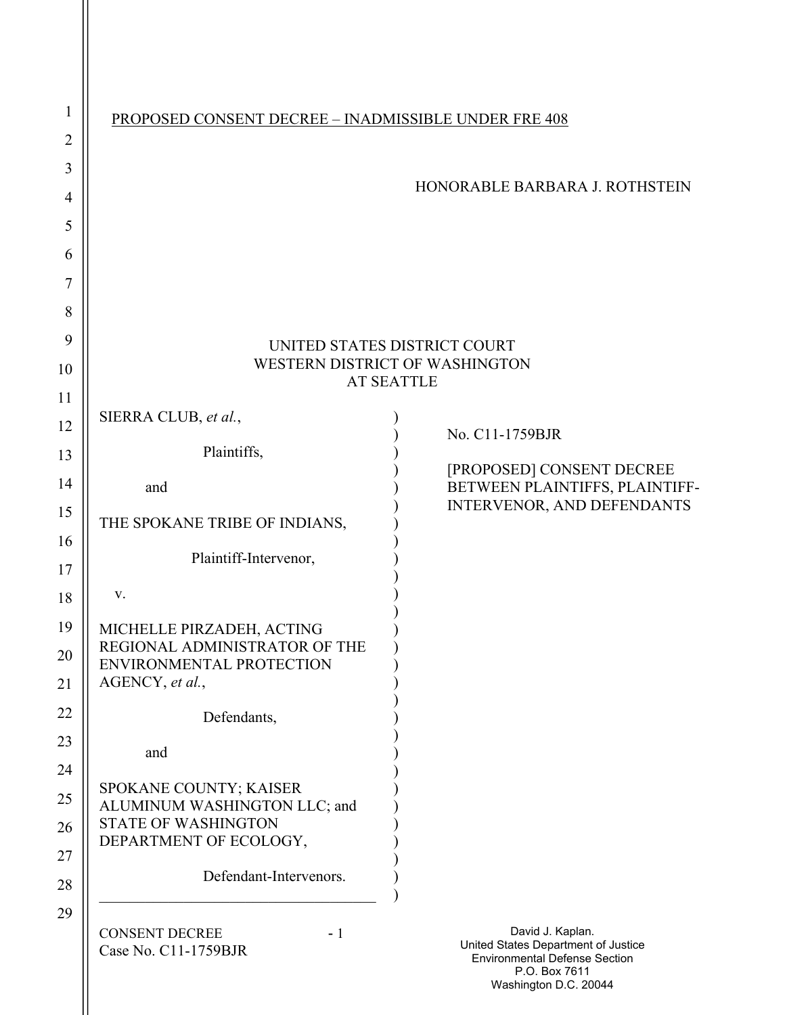| $\mathbf{1}$   | PROPOSED CONSENT DECREE - INADMISSIBLE UNDER FRE 408           |                   |                                                                                                                                           |  |  |  |
|----------------|----------------------------------------------------------------|-------------------|-------------------------------------------------------------------------------------------------------------------------------------------|--|--|--|
| $\overline{2}$ |                                                                |                   |                                                                                                                                           |  |  |  |
| 3              |                                                                |                   | HONORABLE BARBARA J. ROTHSTEIN                                                                                                            |  |  |  |
| $\overline{4}$ |                                                                |                   |                                                                                                                                           |  |  |  |
| 5              |                                                                |                   |                                                                                                                                           |  |  |  |
| 6              |                                                                |                   |                                                                                                                                           |  |  |  |
| 7<br>8         |                                                                |                   |                                                                                                                                           |  |  |  |
| 9              |                                                                |                   |                                                                                                                                           |  |  |  |
| 10             | UNITED STATES DISTRICT COURT<br>WESTERN DISTRICT OF WASHINGTON |                   |                                                                                                                                           |  |  |  |
| 11             |                                                                | <b>AT SEATTLE</b> |                                                                                                                                           |  |  |  |
| 12             | SIERRA CLUB, et al.,                                           |                   | No. C11-1759BJR                                                                                                                           |  |  |  |
| 13             | Plaintiffs,                                                    |                   |                                                                                                                                           |  |  |  |
| 14             | and                                                            |                   | [PROPOSED] CONSENT DECREE<br>BETWEEN PLAINTIFFS, PLAINTIFF-                                                                               |  |  |  |
| 15             | THE SPOKANE TRIBE OF INDIANS,                                  |                   | INTERVENOR, AND DEFENDANTS                                                                                                                |  |  |  |
| 16             | Plaintiff-Intervenor,                                          |                   |                                                                                                                                           |  |  |  |
| 17             |                                                                |                   |                                                                                                                                           |  |  |  |
| 18             | V.                                                             |                   |                                                                                                                                           |  |  |  |
| 19             | MICHELLE PIRZADEH, ACTING<br>REGIONAL ADMINISTRATOR OF THE     |                   |                                                                                                                                           |  |  |  |
| 20             | ENVIRONMENTAL PROTECTION                                       |                   |                                                                                                                                           |  |  |  |
| 21             | AGENCY, et al.,                                                |                   |                                                                                                                                           |  |  |  |
| 22             | Defendants,                                                    |                   |                                                                                                                                           |  |  |  |
| 23             | and                                                            |                   |                                                                                                                                           |  |  |  |
| 24<br>25       | SPOKANE COUNTY; KAISER                                         |                   |                                                                                                                                           |  |  |  |
| 26             | ALUMINUM WASHINGTON LLC; and<br><b>STATE OF WASHINGTON</b>     |                   |                                                                                                                                           |  |  |  |
| 27             | DEPARTMENT OF ECOLOGY,                                         |                   |                                                                                                                                           |  |  |  |
| 28             | Defendant-Intervenors.                                         |                   |                                                                                                                                           |  |  |  |
| 29             |                                                                |                   |                                                                                                                                           |  |  |  |
|                | <b>CONSENT DECREE</b><br>$-1$<br>Case No. C11-1759BJR          |                   | David J. Kaplan.<br>United States Department of Justice<br><b>Environmental Defense Section</b><br>P.O. Box 7611<br>Washington D.C. 20044 |  |  |  |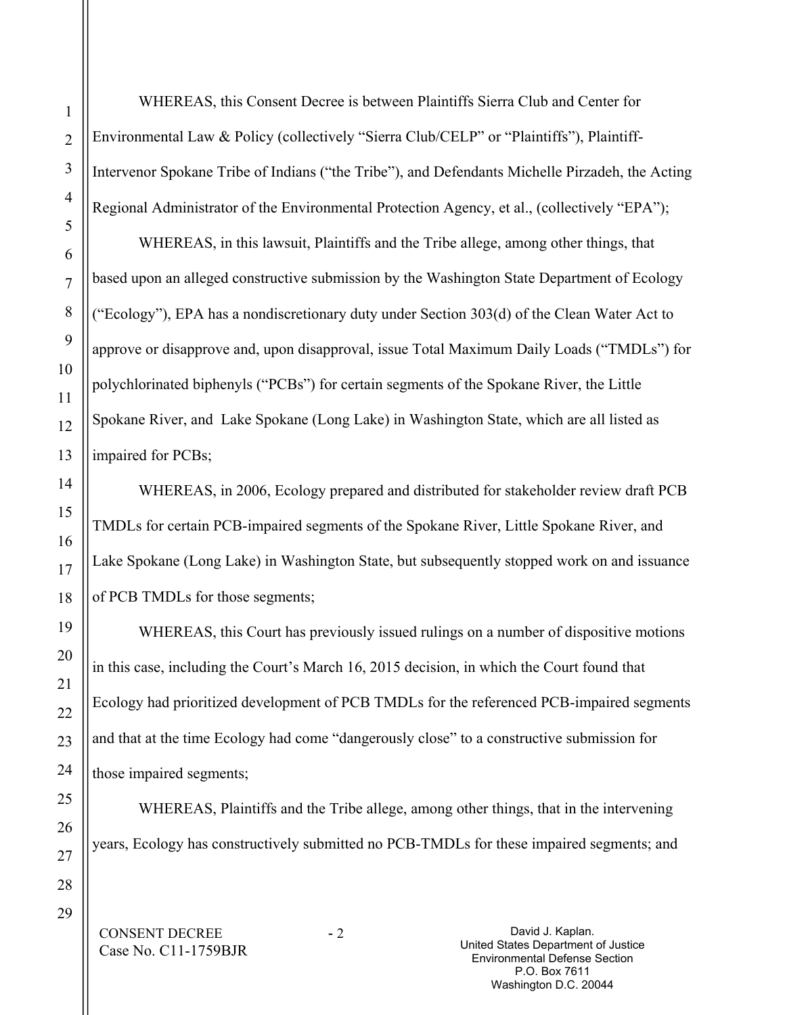WHEREAS, this Consent Decree is between Plaintiffs Sierra Club and Center for Environmental Law & Policy (collectively "Sierra Club/CELP" or "Plaintiffs"), Plaintiff-Intervenor Spokane Tribe of Indians ("the Tribe"), and Defendants Michelle Pirzadeh, the Acting Regional Administrator of the Environmental Protection Agency, et al., (collectively "EPA");

WHEREAS, in this lawsuit, Plaintiffs and the Tribe allege, among other things, that based upon an alleged constructive submission by the Washington State Department of Ecology ("Ecology"), EPA has a nondiscretionary duty under Section 303(d) of the Clean Water Act to approve or disapprove and, upon disapproval, issue Total Maximum Daily Loads ("TMDLs") for polychlorinated biphenyls ("PCBs") for certain segments of the Spokane River, the Little Spokane River, and Lake Spokane (Long Lake) in Washington State, which are all listed as impaired for PCBs;

WHEREAS, in 2006, Ecology prepared and distributed for stakeholder review draft PCB TMDLs for certain PCB-impaired segments of the Spokane River, Little Spokane River, and Lake Spokane (Long Lake) in Washington State, but subsequently stopped work on and issuance of PCB TMDLs for those segments;

WHEREAS, this Court has previously issued rulings on a number of dispositive motions in this case, including the Court's March 16, 2015 decision, in which the Court found that Ecology had prioritized development of PCB TMDLs for the referenced PCB-impaired segments and that at the time Ecology had come "dangerously close" to a constructive submission for those impaired segments;

WHEREAS, Plaintiffs and the Tribe allege, among other things, that in the intervening years, Ecology has constructively submitted no PCB-TMDLs for these impaired segments; and

CONSENT DECREE - 2 Case No. C11-1759BJR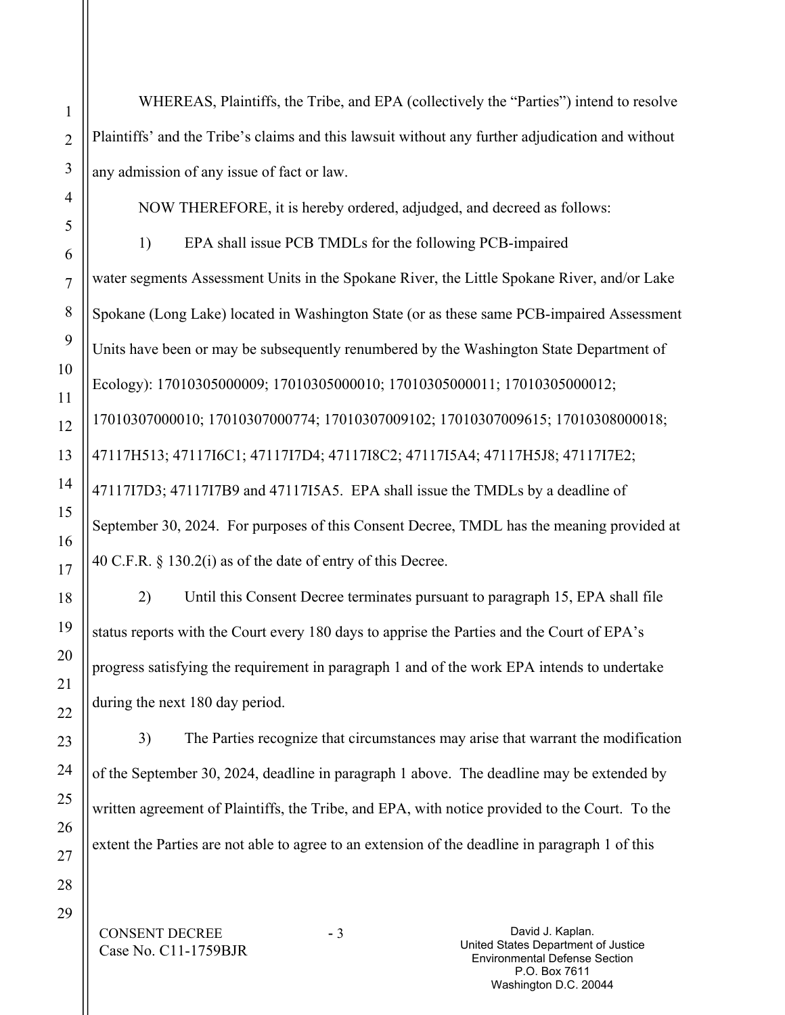1

 WHEREAS, Plaintiffs, the Tribe, and EPA (collectively the "Parties") intend to resolve Plaintiffs' and the Tribe's claims and this lawsuit without any further adjudication and without any admission of any issue of fact or law.

NOW THEREFORE, it is hereby ordered, adjudged, and decreed as follows:

 1) EPA shall issue PCB TMDLs for the following PCB-impaired water segments Assessment Units in the Spokane River, the Little Spokane River, and/or Lake Spokane (Long Lake) located in Washington State (or as these same PCB-impaired Assessment Units have been or may be subsequently renumbered by the Washington State Department of Ecology): 17010305000009; 17010305000010; 17010305000011; 17010305000012; 17010307000010; 17010307000774; 17010307009102; 17010307009615; 17010308000018; 47117H513; 47117I6C1; 47117I7D4; 47117I8C2; 47117I5A4; 47117H5J8; 47117I7E2; 47117I7D3; 47117I7B9 and 47117I5A5. EPA shall issue the TMDLs by a deadline of September 30, 2024. For purposes of this Consent Decree, TMDL has the meaning provided at 40 C.F.R. § 130.2(i) as of the date of entry of this Decree.

 2) Until this Consent Decree terminates pursuant to paragraph 15, EPA shall file status reports with the Court every 180 days to apprise the Parties and the Court of EPA's progress satisfying the requirement in paragraph 1 and of the work EPA intends to undertake during the next 180 day period.

 3) The Parties recognize that circumstances may arise that warrant the modification of the September 30, 2024, deadline in paragraph 1 above. The deadline may be extended by written agreement of Plaintiffs, the Tribe, and EPA, with notice provided to the Court. To the extent the Parties are not able to agree to an extension of the deadline in paragraph 1 of this

CONSENT DECREE - 3 Case No. C11-1759BJR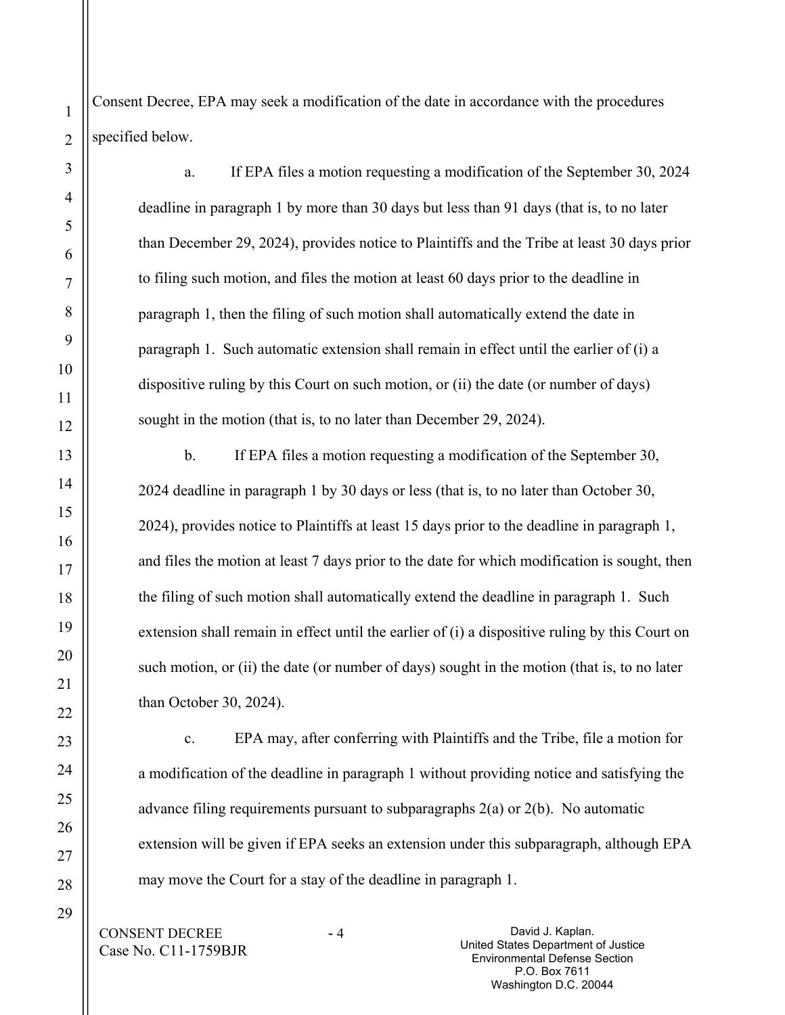Consent Decree, EPA may seek a modification of the date in accordance with the procedures specified below.

 a. If EPA files a motion requesting a modification of the September 30, 2024 deadline in paragraph 1 by more than 30 days but less than 91 days (that is, to no later than December 29, 2024), provides notice to Plaintiffs and the Tribe at least 30 days prior to filing such motion, and files the motion at least 60 days prior to the deadline in paragraph 1, then the filing of such motion shall automatically extend the date in paragraph 1. Such automatic extension shall remain in effect until the earlier of (i) a dispositive ruling by this Court on such motion, or (ii) the date (or number of days) sought in the motion (that is, to no later than December 29, 2024).

 b. If EPA files a motion requesting a modification of the September 30, 2024 deadline in paragraph 1 by 30 days or less (that is, to no later than October 30, 2024), provides notice to Plaintiffs at least 15 days prior to the deadline in paragraph 1, and files the motion at least 7 days prior to the date for which modification is sought, then the filing of such motion shall automatically extend the deadline in paragraph 1. Such extension shall remain in effect until the earlier of (i) a dispositive ruling by this Court on such motion, or (ii) the date (or number of days) sought in the motion (that is, to no later than October 30, 2024).

 c. EPA may, after conferring with Plaintiffs and the Tribe, file a motion for a modification of the deadline in paragraph 1 without providing notice and satisfying the advance filing requirements pursuant to subparagraphs 2(a) or 2(b). No automatic extension will be given if EPA seeks an extension under this subparagraph, although EPA may move the Court for a stay of the deadline in paragraph 1.

CONSENT DECREE 4 Case No. C11-1759BJR

David J. Kaplan. United States Department of Justice Environmental Defense Section P.O. Box 7611 Washington D.C. 20044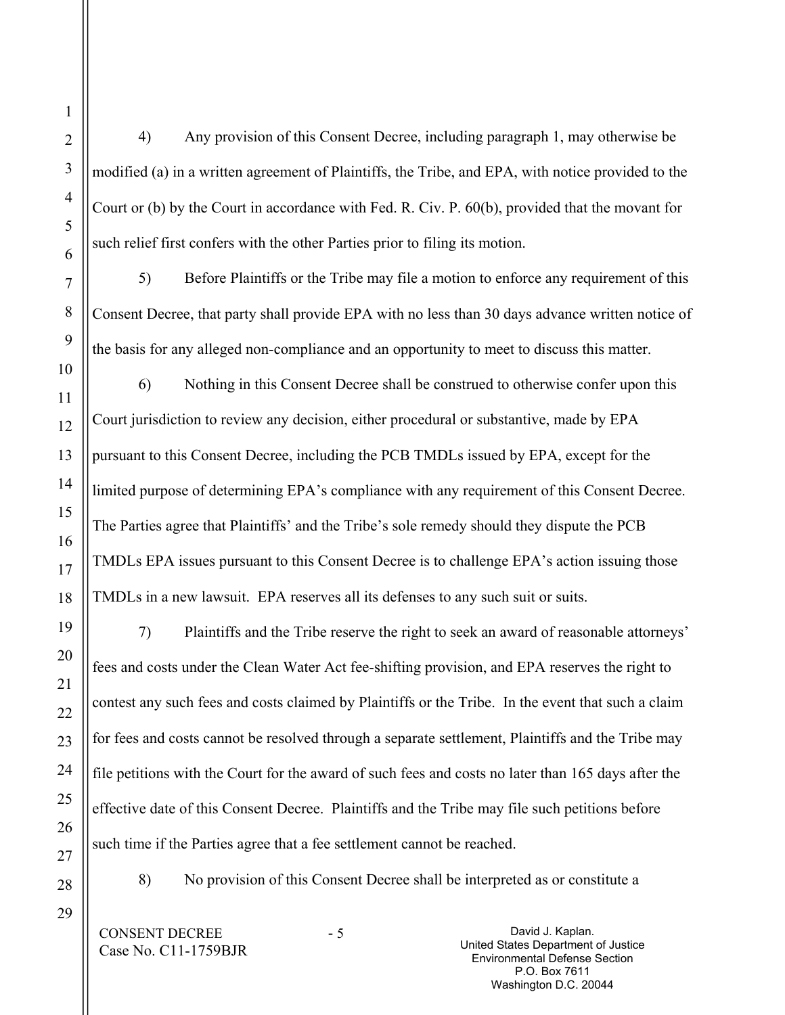4) Any provision of this Consent Decree, including paragraph 1, may otherwise be modified (a) in a written agreement of Plaintiffs, the Tribe, and EPA, with notice provided to the Court or (b) by the Court in accordance with Fed. R. Civ. P. 60(b), provided that the movant for such relief first confers with the other Parties prior to filing its motion.

 5) Before Plaintiffs or the Tribe may file a motion to enforce any requirement of this Consent Decree, that party shall provide EPA with no less than 30 days advance written notice of the basis for any alleged non-compliance and an opportunity to meet to discuss this matter.

 6) Nothing in this Consent Decree shall be construed to otherwise confer upon this Court jurisdiction to review any decision, either procedural or substantive, made by EPA pursuant to this Consent Decree, including the PCB TMDLs issued by EPA, except for the limited purpose of determining EPA's compliance with any requirement of this Consent Decree. The Parties agree that Plaintiffs' and the Tribe's sole remedy should they dispute the PCB TMDLs EPA issues pursuant to this Consent Decree is to challenge EPA's action issuing those TMDLs in a new lawsuit. EPA reserves all its defenses to any such suit or suits.

 7) Plaintiffs and the Tribe reserve the right to seek an award of reasonable attorneys' fees and costs under the Clean Water Act fee-shifting provision, and EPA reserves the right to contest any such fees and costs claimed by Plaintiffs or the Tribe. In the event that such a claim for fees and costs cannot be resolved through a separate settlement, Plaintiffs and the Tribe may file petitions with the Court for the award of such fees and costs no later than 165 days after the effective date of this Consent Decree. Plaintiffs and the Tribe may file such petitions before such time if the Parties agree that a fee settlement cannot be reached.

28

8) No provision of this Consent Decree shall be interpreted as or constitute a

CONSENT DECREE - 5 Case No. C11-1759BJR

David J. Kaplan. United States Department of Justice Environmental Defense Section P.O. Box 7611 Washington D.C. 20044

1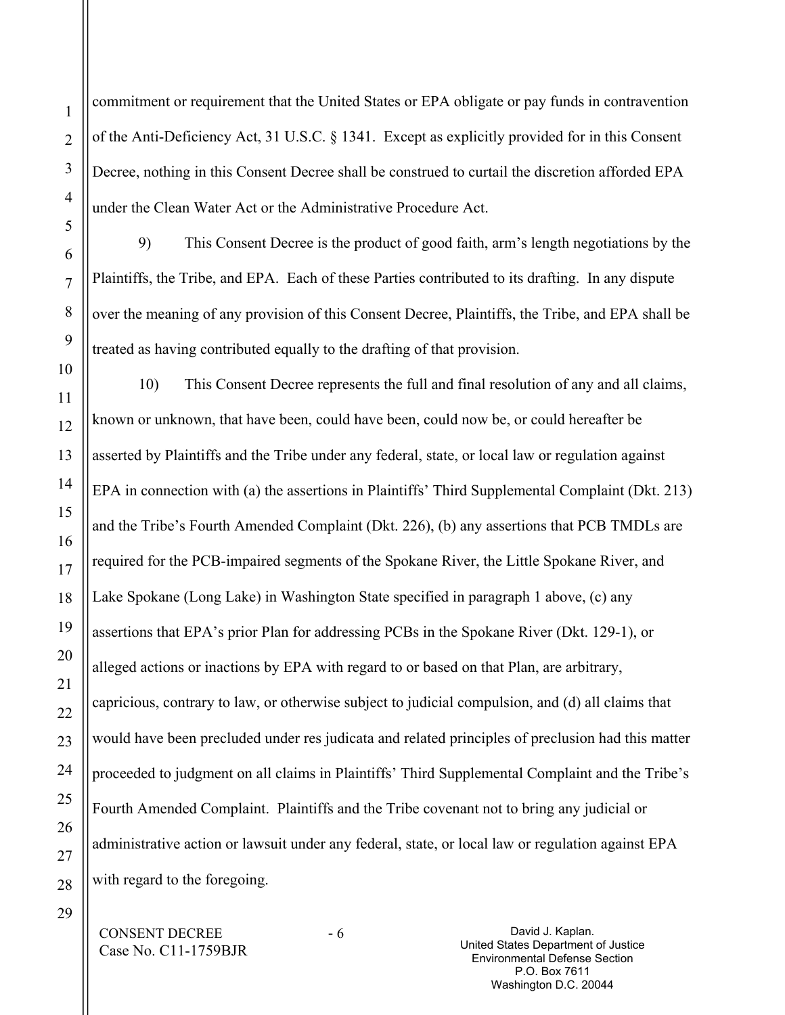commitment or requirement that the United States or EPA obligate or pay funds in contravention of the Anti-Deficiency Act, 31 U.S.C. § 1341. Except as explicitly provided for in this Consent Decree, nothing in this Consent Decree shall be construed to curtail the discretion afforded EPA under the Clean Water Act or the Administrative Procedure Act.

 9) This Consent Decree is the product of good faith, arm's length negotiations by the Plaintiffs, the Tribe, and EPA. Each of these Parties contributed to its drafting. In any dispute over the meaning of any provision of this Consent Decree, Plaintiffs, the Tribe, and EPA shall be treated as having contributed equally to the drafting of that provision.

 10) This Consent Decree represents the full and final resolution of any and all claims, known or unknown, that have been, could have been, could now be, or could hereafter be asserted by Plaintiffs and the Tribe under any federal, state, or local law or regulation against EPA in connection with (a) the assertions in Plaintiffs' Third Supplemental Complaint (Dkt. 213) and the Tribe's Fourth Amended Complaint (Dkt. 226), (b) any assertions that PCB TMDLs are required for the PCB-impaired segments of the Spokane River, the Little Spokane River, and Lake Spokane (Long Lake) in Washington State specified in paragraph 1 above, (c) any assertions that EPA's prior Plan for addressing PCBs in the Spokane River (Dkt. 129-1), or alleged actions or inactions by EPA with regard to or based on that Plan, are arbitrary, capricious, contrary to law, or otherwise subject to judicial compulsion, and (d) all claims that would have been precluded under res judicata and related principles of preclusion had this matter proceeded to judgment on all claims in Plaintiffs' Third Supplemental Complaint and the Tribe's Fourth Amended Complaint. Plaintiffs and the Tribe covenant not to bring any judicial or administrative action or lawsuit under any federal, state, or local law or regulation against EPA with regard to the foregoing.

CONSENT DECREE - 6 Case No. C11-1759BJR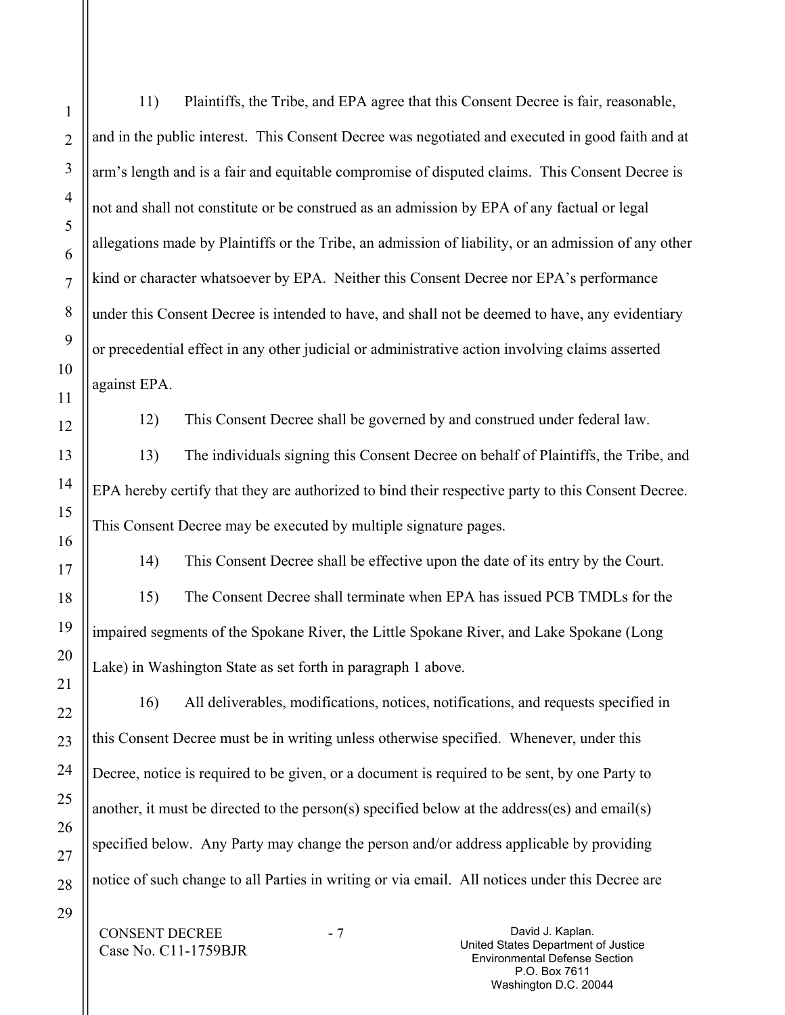11) Plaintiffs, the Tribe, and EPA agree that this Consent Decree is fair, reasonable, and in the public interest. This Consent Decree was negotiated and executed in good faith and at arm's length and is a fair and equitable compromise of disputed claims. This Consent Decree is not and shall not constitute or be construed as an admission by EPA of any factual or legal allegations made by Plaintiffs or the Tribe, an admission of liability, or an admission of any other kind or character whatsoever by EPA. Neither this Consent Decree nor EPA's performance under this Consent Decree is intended to have, and shall not be deemed to have, any evidentiary or precedential effect in any other judicial or administrative action involving claims asserted against EPA.

12) This Consent Decree shall be governed by and construed under federal law.

 13) The individuals signing this Consent Decree on behalf of Plaintiffs, the Tribe, and EPA hereby certify that they are authorized to bind their respective party to this Consent Decree. This Consent Decree may be executed by multiple signature pages.

 14) This Consent Decree shall be effective upon the date of its entry by the Court. 15) The Consent Decree shall terminate when EPA has issued PCB TMDLs for the impaired segments of the Spokane River, the Little Spokane River, and Lake Spokane (Long Lake) in Washington State as set forth in paragraph 1 above.

16) All deliverables, modifications, notices, notifications, and requests specified in this Consent Decree must be in writing unless otherwise specified. Whenever, under this Decree, notice is required to be given, or a document is required to be sent, by one Party to another, it must be directed to the person(s) specified below at the address(es) and email(s) specified below. Any Party may change the person and/or address applicable by providing notice of such change to all Parties in writing or via email. All notices under this Decree are

CONSENT DECREE - 7 Case No. C11-1759BJR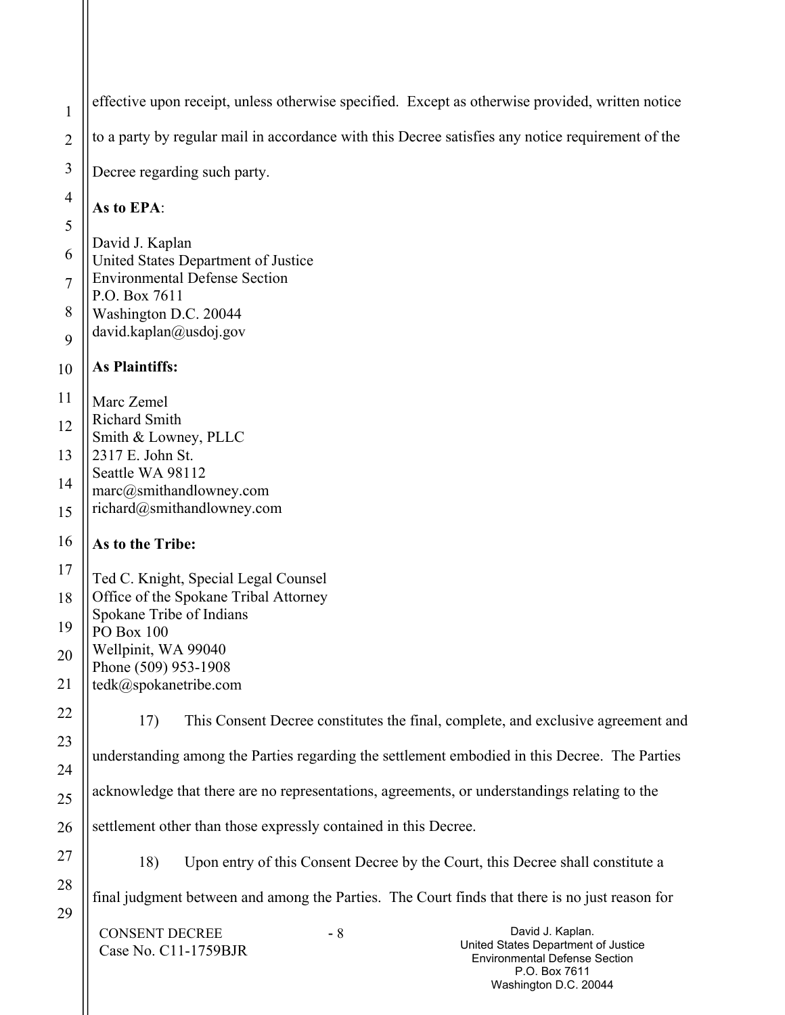CONSENT DECREE - 8 Case No. C11-1759BJR David J. Kaplan. United States Department of Justice Environmental Defense Section P.O. Box 7611 1 2 3 4 5 6 7 8 9 10 11 12 13 14 15 16 17 18 19 20 21 22 23 24 25 26 27 28 29 effective upon receipt, unless otherwise specified. Except as otherwise provided, written notice to a party by regular mail in accordance with this Decree satisfies any notice requirement of the Decree regarding such party. **As to EPA**: David J. Kaplan United States Department of Justice Environmental Defense Section P.O. Box 7611 Washington D.C. 20044 david.kaplan@usdoj.gov **As Plaintiffs:**  Marc Zemel Richard Smith Smith & Lowney, PLLC 2317 E. John St. Seattle WA 98112 marc@smithandlowney.com richard@smithandlowney.com **As to the Tribe:**  Ted C. Knight, Special Legal Counsel Office of the Spokane Tribal Attorney Spokane Tribe of Indians PO Box 100 Wellpinit, WA 99040 Phone (509) 953-1908 tedk@spokanetribe.com 17) This Consent Decree constitutes the final, complete, and exclusive agreement and understanding among the Parties regarding the settlement embodied in this Decree. The Parties acknowledge that there are no representations, agreements, or understandings relating to the settlement other than those expressly contained in this Decree. 18) Upon entry of this Consent Decree by the Court, this Decree shall constitute a final judgment between and among the Parties. The Court finds that there is no just reason for

Washington D.C. 20044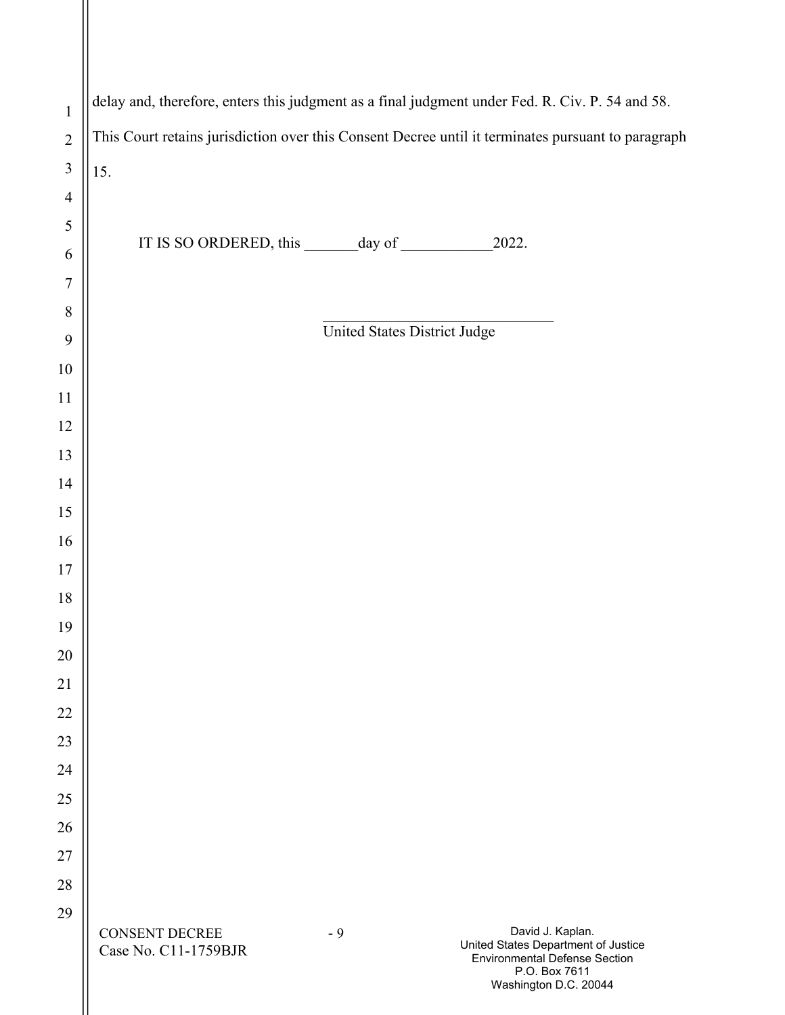| $\mathbf{1}$     | delay and, therefore, enters this judgment as a final judgment under Fed. R. Civ. P. 54 and 58. |                              |                                                                                                                                    |  |  |  |
|------------------|-------------------------------------------------------------------------------------------------|------------------------------|------------------------------------------------------------------------------------------------------------------------------------|--|--|--|
| $\overline{2}$   |                                                                                                 |                              | This Court retains jurisdiction over this Consent Decree until it terminates pursuant to paragraph                                 |  |  |  |
| $\mathfrak{Z}$   | 15.                                                                                             |                              |                                                                                                                                    |  |  |  |
| $\overline{4}$   |                                                                                                 |                              |                                                                                                                                    |  |  |  |
| $\mathfrak s$    |                                                                                                 |                              |                                                                                                                                    |  |  |  |
| 6                |                                                                                                 |                              |                                                                                                                                    |  |  |  |
| $\tau$           |                                                                                                 |                              |                                                                                                                                    |  |  |  |
| $8\,$            |                                                                                                 | United States District Judge |                                                                                                                                    |  |  |  |
| $\boldsymbol{9}$ |                                                                                                 |                              |                                                                                                                                    |  |  |  |
| $10\,$           |                                                                                                 |                              |                                                                                                                                    |  |  |  |
| $11\,$           |                                                                                                 |                              |                                                                                                                                    |  |  |  |
| 12               |                                                                                                 |                              |                                                                                                                                    |  |  |  |
| 13               |                                                                                                 |                              |                                                                                                                                    |  |  |  |
| 14               |                                                                                                 |                              |                                                                                                                                    |  |  |  |
| 15<br>16         |                                                                                                 |                              |                                                                                                                                    |  |  |  |
| 17               |                                                                                                 |                              |                                                                                                                                    |  |  |  |
| $18\,$           |                                                                                                 |                              |                                                                                                                                    |  |  |  |
| 19               |                                                                                                 |                              |                                                                                                                                    |  |  |  |
| 20               |                                                                                                 |                              |                                                                                                                                    |  |  |  |
| 21               |                                                                                                 |                              |                                                                                                                                    |  |  |  |
| 22               |                                                                                                 |                              |                                                                                                                                    |  |  |  |
| 23               |                                                                                                 |                              |                                                                                                                                    |  |  |  |
| 24               |                                                                                                 |                              |                                                                                                                                    |  |  |  |
| 25               |                                                                                                 |                              |                                                                                                                                    |  |  |  |
| 26               |                                                                                                 |                              |                                                                                                                                    |  |  |  |
| 27               |                                                                                                 |                              |                                                                                                                                    |  |  |  |
| 28               |                                                                                                 |                              |                                                                                                                                    |  |  |  |
| 29               |                                                                                                 |                              |                                                                                                                                    |  |  |  |
|                  | <b>CONSENT DECREE</b><br>Case No. C11-1759BJR                                                   | $-9$                         | David J. Kaplan.<br>United States Department of Justice<br>Environmental Defense Section<br>P.O. Box 7611<br>Washington D.C. 20044 |  |  |  |